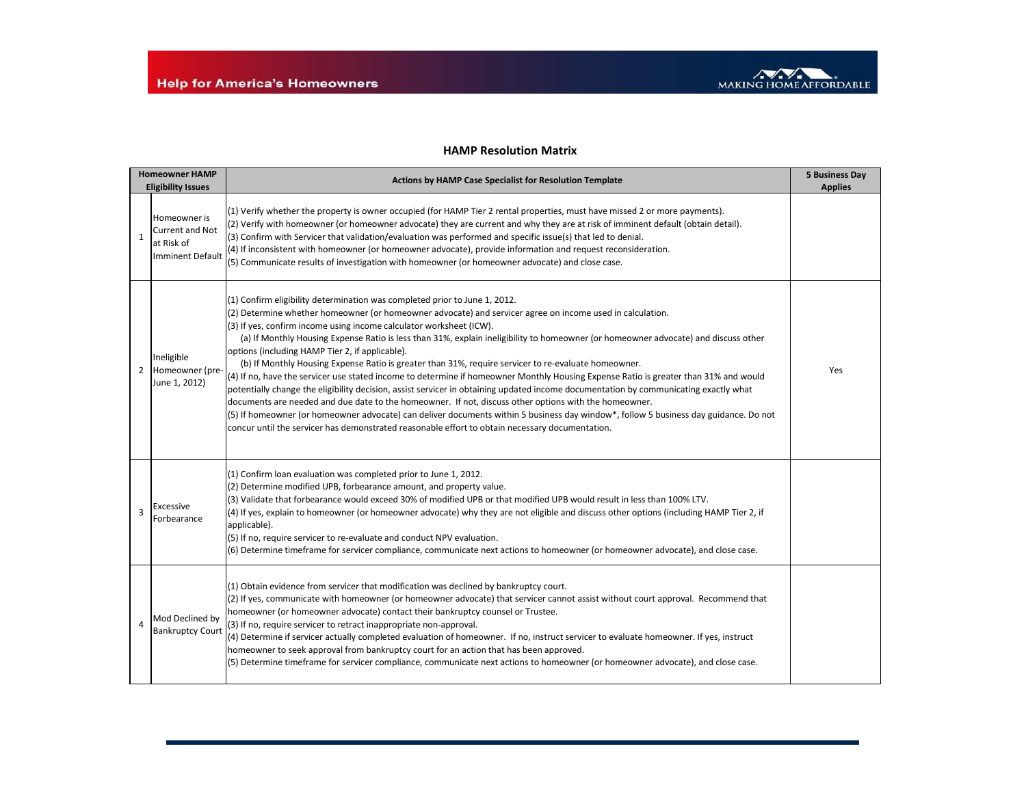

## **HAMP Resolution Matrix**

| <b>Homeowner HAMP</b><br><b>Eligibility Issues</b> |                                                                          | <b>Actions by HAMP Case Specialist for Resolution Template</b>                                                                                                                                                                                                                                                                                                                                                                                                                                                                                                                                                                                                                                                                                                                                                                                                                                                                                                                                                                                                                                                                                                                                       | <b>5 Business Day</b><br><b>Applies</b> |
|----------------------------------------------------|--------------------------------------------------------------------------|------------------------------------------------------------------------------------------------------------------------------------------------------------------------------------------------------------------------------------------------------------------------------------------------------------------------------------------------------------------------------------------------------------------------------------------------------------------------------------------------------------------------------------------------------------------------------------------------------------------------------------------------------------------------------------------------------------------------------------------------------------------------------------------------------------------------------------------------------------------------------------------------------------------------------------------------------------------------------------------------------------------------------------------------------------------------------------------------------------------------------------------------------------------------------------------------------|-----------------------------------------|
| $\mathbf{1}$                                       | Homeowner is<br>Current and Not<br>at Risk of<br><b>Imminent Default</b> | (1) Verify whether the property is owner occupied (for HAMP Tier 2 rental properties, must have missed 2 or more payments).<br>(2) Verify with homeowner (or homeowner advocate) they are current and why they are at risk of imminent default (obtain detail).<br>(3) Confirm with Servicer that validation/evaluation was performed and specific issue(s) that led to denial.<br>(4) If inconsistent with homeowner (or homeowner advocate), provide information and request reconsideration.<br>(5) Communicate results of investigation with homeowner (or homeowner advocate) and close case.                                                                                                                                                                                                                                                                                                                                                                                                                                                                                                                                                                                                   |                                         |
|                                                    | Ineligible<br>2 Homeowner (pre-<br>June 1, 2012)                         | (1) Confirm eligibility determination was completed prior to June 1, 2012.<br>(2) Determine whether homeowner (or homeowner advocate) and servicer agree on income used in calculation.<br>(3) If yes, confirm income using income calculator worksheet (ICW).<br>(a) If Monthly Housing Expense Ratio is less than 31%, explain ineligibility to homeowner (or homeowner advocate) and discuss other<br>options (including HAMP Tier 2, if applicable).<br>(b) If Monthly Housing Expense Ratio is greater than 31%, require servicer to re-evaluate homeowner.<br>(4) If no, have the servicer use stated income to determine if homeowner Monthly Housing Expense Ratio is greater than 31% and would<br>potentially change the eligibility decision, assist servicer in obtaining updated income documentation by communicating exactly what<br>documents are needed and due date to the homeowner. If not, discuss other options with the homeowner.<br>(5) If homeowner (or homeowner advocate) can deliver documents within 5 business day window*, follow 5 business day guidance. Do not<br>concur until the servicer has demonstrated reasonable effort to obtain necessary documentation. | Yes                                     |
| 3                                                  | Excessive<br>Forbearance                                                 | (1) Confirm loan evaluation was completed prior to June 1, 2012.<br>(2) Determine modified UPB, forbearance amount, and property value.<br>(3) Validate that forbearance would exceed 30% of modified UPB or that modified UPB would result in less than 100% LTV.<br>(4) If yes, explain to homeowner (or homeowner advocate) why they are not eligible and discuss other options (including HAMP Tier 2, if<br>applicable).<br>(5) If no, require servicer to re-evaluate and conduct NPV evaluation.<br>(6) Determine timeframe for servicer compliance, communicate next actions to homeowner (or homeowner advocate), and close case.                                                                                                                                                                                                                                                                                                                                                                                                                                                                                                                                                           |                                         |
|                                                    | Mod Declined by<br><b>Bankruptcy Court</b>                               | (1) Obtain evidence from servicer that modification was declined by bankruptcy court.<br>(2) If yes, communicate with homeowner (or homeowner advocate) that servicer cannot assist without court approval. Recommend that<br>homeowner (or homeowner advocate) contact their bankruptcy counsel or Trustee.<br>(3) If no, require servicer to retract inappropriate non-approval.<br>(4) Determine if servicer actually completed evaluation of homeowner. If no, instruct servicer to evaluate homeowner. If yes, instruct<br>homeowner to seek approval from bankruptcy court for an action that has been approved.<br>(5) Determine timeframe for servicer compliance, communicate next actions to homeowner (or homeowner advocate), and close case.                                                                                                                                                                                                                                                                                                                                                                                                                                            |                                         |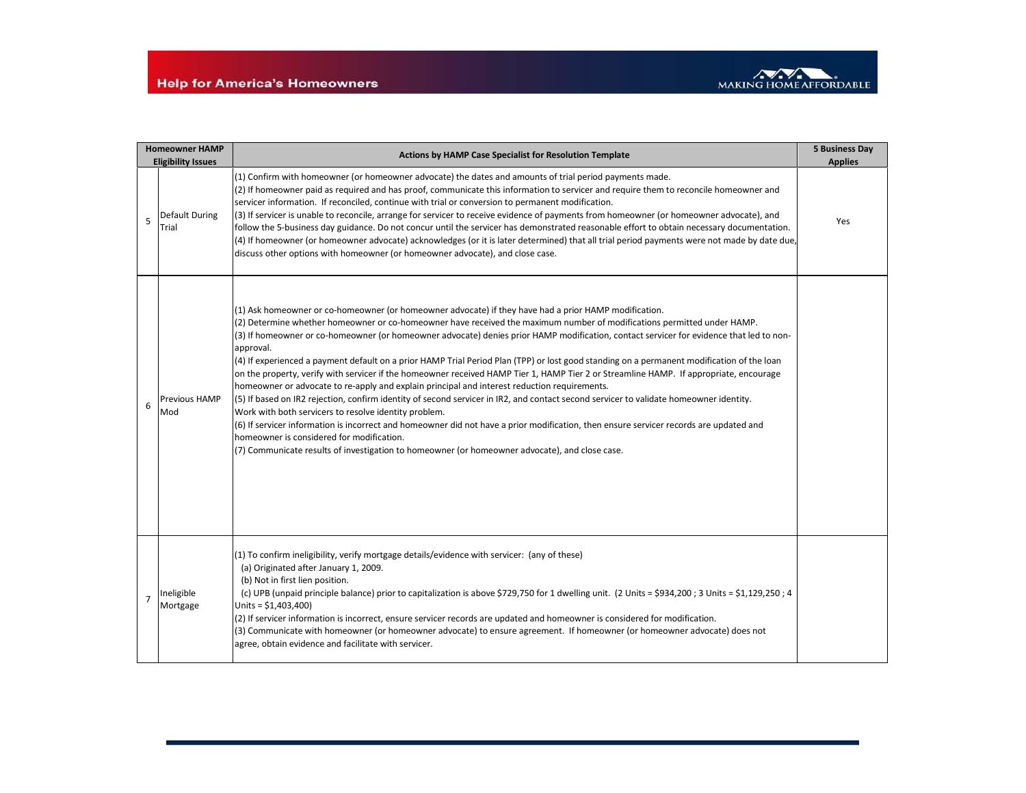

| <b>Homeowner HAMP</b><br><b>Eligibility Issues</b> |                         | Actions by HAMP Case Specialist for Resolution Template                                                                                                                                                                                                                                                                                                                                                                                                                                                                                                                                                                                                                                                                                                                                                                                                                                                                                                                                                                                                                                                                                                                                                                                                                      | <b>5 Business Day</b><br><b>Applies</b> |
|----------------------------------------------------|-------------------------|------------------------------------------------------------------------------------------------------------------------------------------------------------------------------------------------------------------------------------------------------------------------------------------------------------------------------------------------------------------------------------------------------------------------------------------------------------------------------------------------------------------------------------------------------------------------------------------------------------------------------------------------------------------------------------------------------------------------------------------------------------------------------------------------------------------------------------------------------------------------------------------------------------------------------------------------------------------------------------------------------------------------------------------------------------------------------------------------------------------------------------------------------------------------------------------------------------------------------------------------------------------------------|-----------------------------------------|
| 5                                                  | Default During<br>Trial | (1) Confirm with homeowner (or homeowner advocate) the dates and amounts of trial period payments made.<br>(2) If homeowner paid as required and has proof, communicate this information to servicer and require them to reconcile homeowner and<br>servicer information. If reconciled, continue with trial or conversion to permanent modification.<br>(3) If servicer is unable to reconcile, arrange for servicer to receive evidence of payments from homeowner (or homeowner advocate), and<br>follow the 5-business day guidance. Do not concur until the servicer has demonstrated reasonable effort to obtain necessary documentation.<br>(4) If homeowner (or homeowner advocate) acknowledges (or it is later determined) that all trial period payments were not made by date due,<br>discuss other options with homeowner (or homeowner advocate), and close case.                                                                                                                                                                                                                                                                                                                                                                                              | Yes                                     |
| 6                                                  | Previous HAMP<br>Mod    | (1) Ask homeowner or co-homeowner (or homeowner advocate) if they have had a prior HAMP modification.<br>(2) Determine whether homeowner or co-homeowner have received the maximum number of modifications permitted under HAMP.<br>(3) If homeowner or co-homeowner (or homeowner advocate) denies prior HAMP modification, contact servicer for evidence that led to non-<br>approval.<br>(4) If experienced a payment default on a prior HAMP Trial Period Plan (TPP) or lost good standing on a permanent modification of the loan<br>on the property, verify with servicer if the homeowner received HAMP Tier 1, HAMP Tier 2 or Streamline HAMP. If appropriate, encourage<br>homeowner or advocate to re-apply and explain principal and interest reduction requirements.<br>(5) If based on IR2 rejection, confirm identity of second servicer in IR2, and contact second servicer to validate homeowner identity.<br>Work with both servicers to resolve identity problem.<br>(6) If servicer information is incorrect and homeowner did not have a prior modification, then ensure servicer records are updated and<br>homeowner is considered for modification.<br>(7) Communicate results of investigation to homeowner (or homeowner advocate), and close case. |                                         |
| $\overline{7}$                                     | Ineligible<br>Mortgage  | (1) To confirm ineligibility, verify mortgage details/evidence with servicer: (any of these)<br>(a) Originated after January 1, 2009.<br>(b) Not in first lien position.<br>(c) UPB (unpaid principle balance) prior to capitalization is above \$729,750 for 1 dwelling unit. (2 Units = \$934,200 ; 3 Units = \$1,129,250 ; 4<br>Units = $$1,403,400$ )<br>(2) If servicer information is incorrect, ensure servicer records are updated and homeowner is considered for modification.<br>(3) Communicate with homeowner (or homeowner advocate) to ensure agreement. If homeowner (or homeowner advocate) does not<br>agree, obtain evidence and facilitate with servicer.                                                                                                                                                                                                                                                                                                                                                                                                                                                                                                                                                                                                |                                         |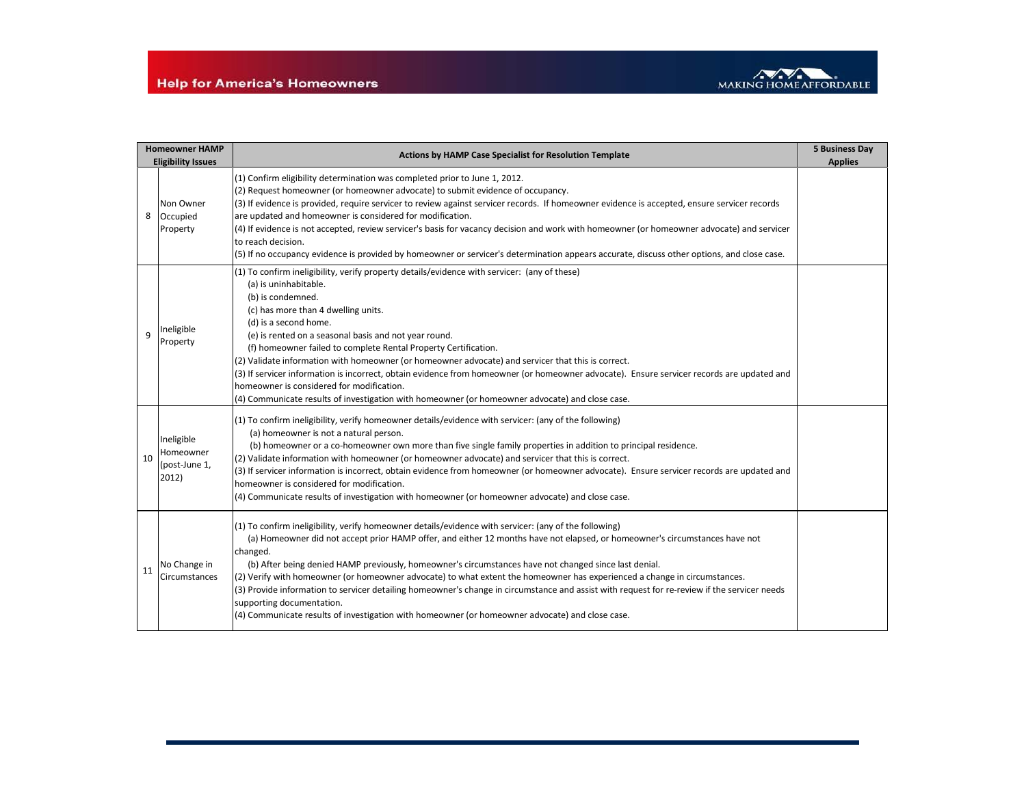

| <b>Homeowner HAMP</b><br><b>Eligibility Issues</b> |                                                   | Actions by HAMP Case Specialist for Resolution Template                                                                                                                                                                                                                                                                                                                                                                                                                                                                                                                                                                                                                                                                                                                | 5 Business Day<br><b>Applies</b> |
|----------------------------------------------------|---------------------------------------------------|------------------------------------------------------------------------------------------------------------------------------------------------------------------------------------------------------------------------------------------------------------------------------------------------------------------------------------------------------------------------------------------------------------------------------------------------------------------------------------------------------------------------------------------------------------------------------------------------------------------------------------------------------------------------------------------------------------------------------------------------------------------------|----------------------------------|
| 8                                                  | Non Owner<br>Occupied<br>Property                 | (1) Confirm eligibility determination was completed prior to June 1, 2012.<br>(2) Request homeowner (or homeowner advocate) to submit evidence of occupancy.<br>(3) If evidence is provided, require servicer to review against servicer records. If homeowner evidence is accepted, ensure servicer records<br>are updated and homeowner is considered for modification.<br>(4) If evidence is not accepted, review servicer's basis for vacancy decision and work with homeowner (or homeowner advocate) and servicer<br>to reach decision.<br>(5) If no occupancy evidence is provided by homeowner or servicer's determination appears accurate, discuss other options, and close case.                                                                            |                                  |
| $\mathsf q$                                        | Ineligible<br>Property                            | (1) To confirm ineligibility, verify property details/evidence with servicer: (any of these)<br>(a) is uninhabitable.<br>(b) is condemned.<br>(c) has more than 4 dwelling units.<br>(d) is a second home.<br>(e) is rented on a seasonal basis and not year round.<br>(f) homeowner failed to complete Rental Property Certification.<br>(2) Validate information with homeowner (or homeowner advocate) and servicer that this is correct.<br>(3) If servicer information is incorrect, obtain evidence from homeowner (or homeowner advocate). Ensure servicer records are updated and<br>homeowner is considered for modification.<br>(4) Communicate results of investigation with homeowner (or homeowner advocate) and close case.                              |                                  |
| 10                                                 | Ineligible<br>Homeowner<br>(post-June 1,<br>2012) | (1) To confirm ineligibility, verify homeowner details/evidence with servicer: (any of the following)<br>(a) homeowner is not a natural person.<br>(b) homeowner or a co-homeowner own more than five single family properties in addition to principal residence.<br>(2) Validate information with homeowner (or homeowner advocate) and servicer that this is correct.<br>(3) If servicer information is incorrect, obtain evidence from homeowner (or homeowner advocate). Ensure servicer records are updated and<br>homeowner is considered for modification.<br>(4) Communicate results of investigation with homeowner (or homeowner advocate) and close case.                                                                                                  |                                  |
| 11                                                 | No Change in<br>Circumstances                     | (1) To confirm ineligibility, verify homeowner details/evidence with servicer: (any of the following)<br>(a) Homeowner did not accept prior HAMP offer, and either 12 months have not elapsed, or homeowner's circumstances have not<br>changed.<br>(b) After being denied HAMP previously, homeowner's circumstances have not changed since last denial.<br>(2) Verify with homeowner (or homeowner advocate) to what extent the homeowner has experienced a change in circumstances.<br>(3) Provide information to servicer detailing homeowner's change in circumstance and assist with request for re-review if the servicer needs<br>supporting documentation.<br>(4) Communicate results of investigation with homeowner (or homeowner advocate) and close case. |                                  |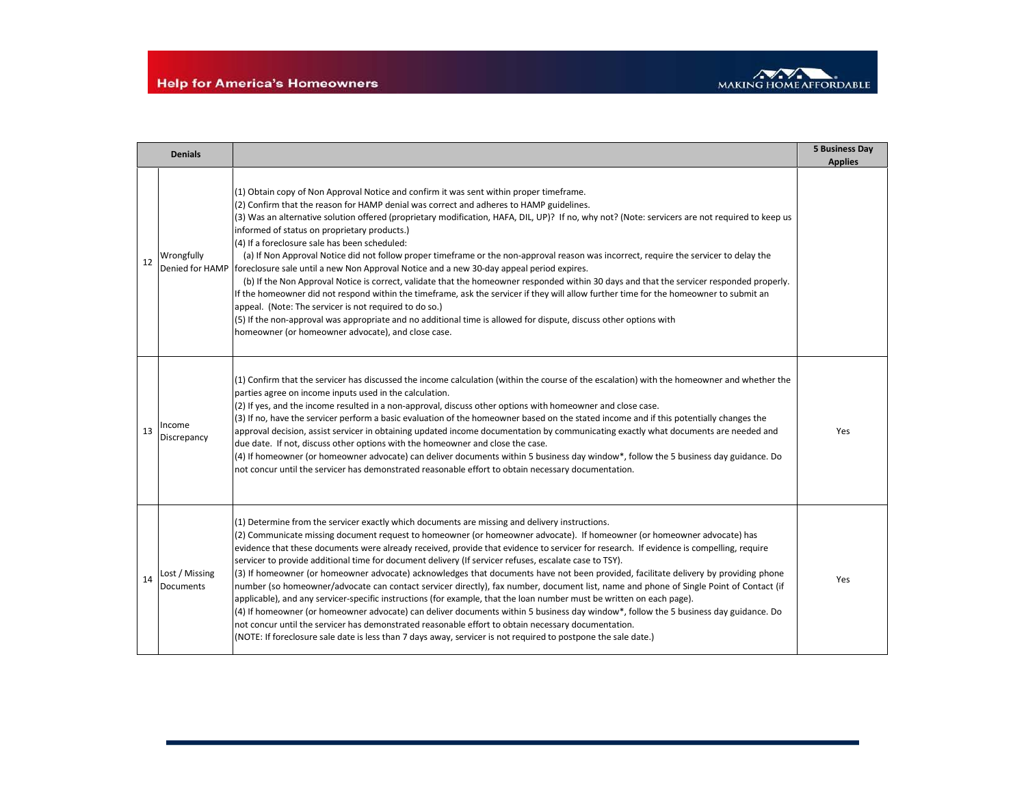

| <b>Denials</b> |                                    |                                                                                                                                                                                                                                                                                                                                                                                                                                                                                                                                                                                                                                                                                                                                                                                                                                                                                                                                                                                                                                                                                                                                                                                                                                                           | <b>5 Business Day</b><br><b>Applies</b> |
|----------------|------------------------------------|-----------------------------------------------------------------------------------------------------------------------------------------------------------------------------------------------------------------------------------------------------------------------------------------------------------------------------------------------------------------------------------------------------------------------------------------------------------------------------------------------------------------------------------------------------------------------------------------------------------------------------------------------------------------------------------------------------------------------------------------------------------------------------------------------------------------------------------------------------------------------------------------------------------------------------------------------------------------------------------------------------------------------------------------------------------------------------------------------------------------------------------------------------------------------------------------------------------------------------------------------------------|-----------------------------------------|
| 12             | Wrongfully                         | (1) Obtain copy of Non Approval Notice and confirm it was sent within proper timeframe.<br>(2) Confirm that the reason for HAMP denial was correct and adheres to HAMP guidelines.<br>(3) Was an alternative solution offered (proprietary modification, HAFA, DIL, UP)? If no, why not? (Note: servicers are not required to keep us<br>informed of status on proprietary products.)<br>(4) If a foreclosure sale has been scheduled:<br>(a) If Non Approval Notice did not follow proper timeframe or the non-approval reason was incorrect, require the servicer to delay the<br>Denied for HAMP   foreclosure sale until a new Non Approval Notice and a new 30-day appeal period expires.<br>(b) If the Non Approval Notice is correct, validate that the homeowner responded within 30 days and that the servicer responded properly.<br>If the homeowner did not respond within the timeframe, ask the servicer if they will allow further time for the homeowner to submit an<br>appeal. (Note: The servicer is not required to do so.)<br>(5) If the non-approval was appropriate and no additional time is allowed for dispute, discuss other options with<br>homeowner (or homeowner advocate), and close case.                                |                                         |
| 13             | Income<br>Discrepancy              | (1) Confirm that the servicer has discussed the income calculation (within the course of the escalation) with the homeowner and whether the<br>parties agree on income inputs used in the calculation.<br>(2) If yes, and the income resulted in a non-approval, discuss other options with homeowner and close case.<br>(3) If no, have the servicer perform a basic evaluation of the homeowner based on the stated income and if this potentially changes the<br>approval decision, assist servicer in obtaining updated income documentation by communicating exactly what documents are needed and<br>due date. If not, discuss other options with the homeowner and close the case.<br>(4) If homeowner (or homeowner advocate) can deliver documents within 5 business day window*, follow the 5 business day guidance. Do<br>not concur until the servicer has demonstrated reasonable effort to obtain necessary documentation.                                                                                                                                                                                                                                                                                                                  | Yes                                     |
| 14             | Lost / Missing<br><b>Documents</b> | (1) Determine from the servicer exactly which documents are missing and delivery instructions.<br>(2) Communicate missing document request to homeowner (or homeowner advocate). If homeowner (or homeowner advocate) has<br>evidence that these documents were already received, provide that evidence to servicer for research. If evidence is compelling, require<br>servicer to provide additional time for document delivery (If servicer refuses, escalate case to TSY).<br>(3) If homeowner (or homeowner advocate) acknowledges that documents have not been provided, facilitate delivery by providing phone<br>number (so homeowner/advocate can contact servicer directly), fax number, document list, name and phone of Single Point of Contact (if<br>applicable), and any servicer-specific instructions (for example, that the loan number must be written on each page).<br>(4) If homeowner (or homeowner advocate) can deliver documents within 5 business day window*, follow the 5 business day guidance. Do<br>not concur until the servicer has demonstrated reasonable effort to obtain necessary documentation.<br>(NOTE: If foreclosure sale date is less than 7 days away, servicer is not required to postpone the sale date.) | Yes                                     |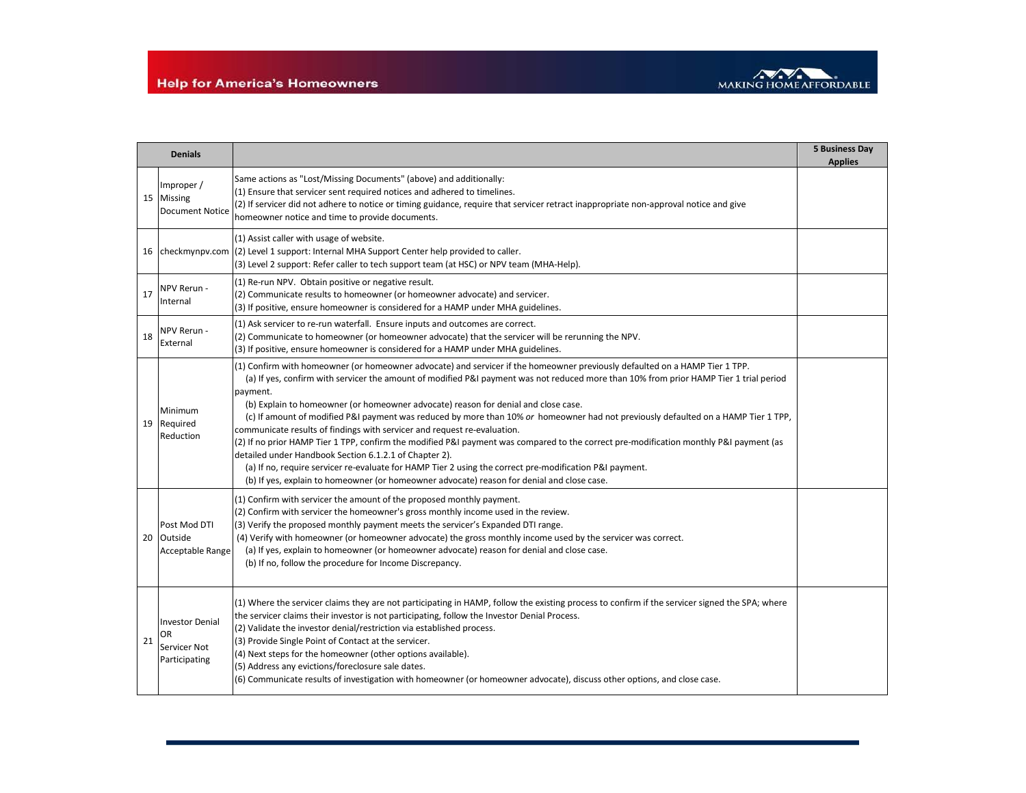

| <b>Denials</b> |                                                               |                                                                                                                                                                                                                                                                                                                                                                                                                                                                                                                                                                                                                                                                                                                                                                                                                                                                                                                                                                                                        | <b>5 Business Day</b><br><b>Applies</b> |
|----------------|---------------------------------------------------------------|--------------------------------------------------------------------------------------------------------------------------------------------------------------------------------------------------------------------------------------------------------------------------------------------------------------------------------------------------------------------------------------------------------------------------------------------------------------------------------------------------------------------------------------------------------------------------------------------------------------------------------------------------------------------------------------------------------------------------------------------------------------------------------------------------------------------------------------------------------------------------------------------------------------------------------------------------------------------------------------------------------|-----------------------------------------|
|                | Improper /<br>15 Missing<br><b>Document Notice</b>            | Same actions as "Lost/Missing Documents" (above) and additionally:<br>(1) Ensure that servicer sent required notices and adhered to timelines.<br>(2) If servicer did not adhere to notice or timing guidance, require that servicer retract inappropriate non-approval notice and give<br>homeowner notice and time to provide documents.                                                                                                                                                                                                                                                                                                                                                                                                                                                                                                                                                                                                                                                             |                                         |
|                |                                                               | (1) Assist caller with usage of website.<br>16 checkmynpv.com (2) Level 1 support: Internal MHA Support Center help provided to caller.<br>(3) Level 2 support: Refer caller to tech support team (at HSC) or NPV team (MHA-Help).                                                                                                                                                                                                                                                                                                                                                                                                                                                                                                                                                                                                                                                                                                                                                                     |                                         |
| 17             | NPV Rerun -<br>Internal                                       | (1) Re-run NPV. Obtain positive or negative result.<br>(2) Communicate results to homeowner (or homeowner advocate) and servicer.<br>(3) If positive, ensure homeowner is considered for a HAMP under MHA guidelines.                                                                                                                                                                                                                                                                                                                                                                                                                                                                                                                                                                                                                                                                                                                                                                                  |                                         |
| 18             | NPV Rerun -<br>External                                       | (1) Ask servicer to re-run waterfall. Ensure inputs and outcomes are correct.<br>(2) Communicate to homeowner (or homeowner advocate) that the servicer will be rerunning the NPV.<br>(3) If positive, ensure homeowner is considered for a HAMP under MHA guidelines.                                                                                                                                                                                                                                                                                                                                                                                                                                                                                                                                                                                                                                                                                                                                 |                                         |
|                | Minimum<br>19 Required<br>Reduction                           | (1) Confirm with homeowner (or homeowner advocate) and servicer if the homeowner previously defaulted on a HAMP Tier 1 TPP.<br>(a) If yes, confirm with servicer the amount of modified P&I payment was not reduced more than 10% from prior HAMP Tier 1 trial period<br>payment.<br>(b) Explain to homeowner (or homeowner advocate) reason for denial and close case.<br>(c) If amount of modified P&I payment was reduced by more than 10% or homeowner had not previously defaulted on a HAMP Tier 1 TPP,<br>communicate results of findings with servicer and request re-evaluation.<br>(2) If no prior HAMP Tier 1 TPP, confirm the modified P&I payment was compared to the correct pre-modification monthly P&I payment (as<br>detailed under Handbook Section 6.1.2.1 of Chapter 2).<br>(a) If no, require servicer re-evaluate for HAMP Tier 2 using the correct pre-modification P&I payment.<br>(b) If yes, explain to homeowner (or homeowner advocate) reason for denial and close case. |                                         |
| 20             | Post Mod DTI<br>Outside<br>Acceptable Range                   | (1) Confirm with servicer the amount of the proposed monthly payment.<br>(2) Confirm with servicer the homeowner's gross monthly income used in the review.<br>(3) Verify the proposed monthly payment meets the servicer's Expanded DTI range.<br>(4) Verify with homeowner (or homeowner advocate) the gross monthly income used by the servicer was correct.<br>(a) If yes, explain to homeowner (or homeowner advocate) reason for denial and close case.<br>(b) If no, follow the procedure for Income Discrepancy.                                                                                                                                                                                                                                                                                                                                                                                                                                                                               |                                         |
| 21             | <b>Investor Denial</b><br>OR<br>Servicer Not<br>Participating | (1) Where the servicer claims they are not participating in HAMP, follow the existing process to confirm if the servicer signed the SPA; where<br>the servicer claims their investor is not participating, follow the Investor Denial Process.<br>(2) Validate the investor denial/restriction via established process.<br>(3) Provide Single Point of Contact at the servicer.<br>(4) Next steps for the homeowner (other options available).<br>(5) Address any evictions/foreclosure sale dates.<br>(6) Communicate results of investigation with homeowner (or homeowner advocate), discuss other options, and close case.                                                                                                                                                                                                                                                                                                                                                                         |                                         |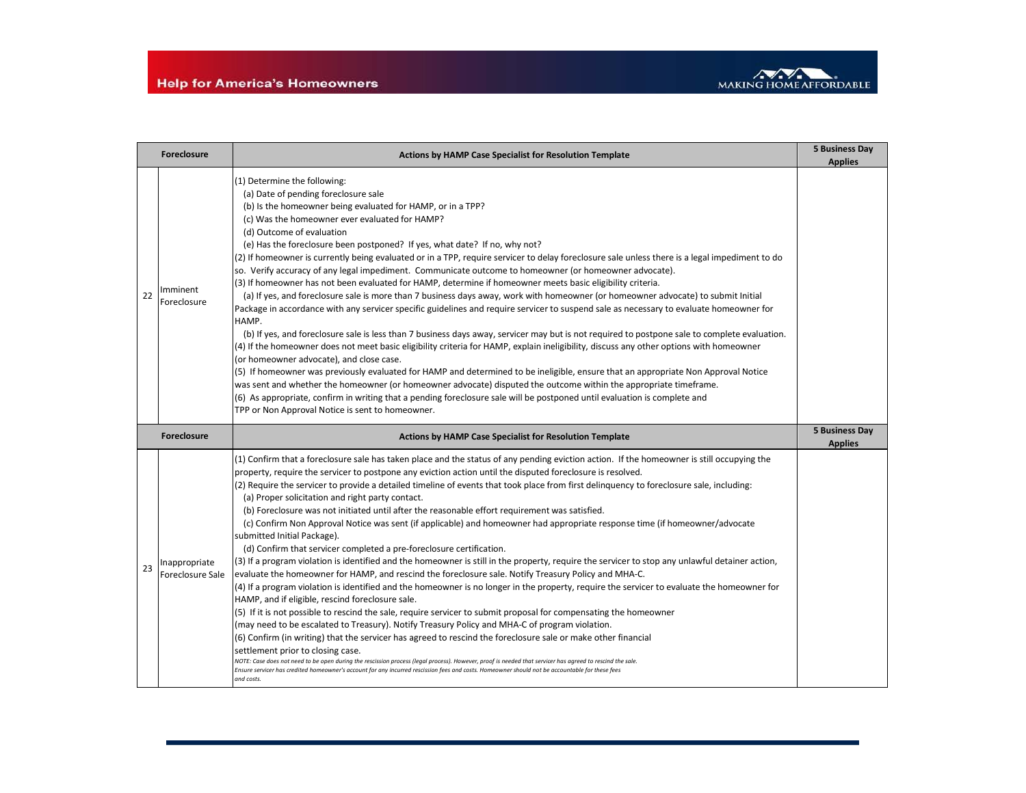

| <b>Foreclosure</b> |                                   | <b>Actions by HAMP Case Specialist for Resolution Template</b>                                                                                                                                                                                                                                                                                                                                                                                                                                                                                                                                                                                                                                                                                                                                                                                                                                                                                                                                                                                                                                                                                                                                                                                                                                                                                                                                                                                                                                                                                                                                                                                                                                                                                                                                                                                                                                                                                                            | <b>5 Business Day</b><br><b>Applies</b> |
|--------------------|-----------------------------------|---------------------------------------------------------------------------------------------------------------------------------------------------------------------------------------------------------------------------------------------------------------------------------------------------------------------------------------------------------------------------------------------------------------------------------------------------------------------------------------------------------------------------------------------------------------------------------------------------------------------------------------------------------------------------------------------------------------------------------------------------------------------------------------------------------------------------------------------------------------------------------------------------------------------------------------------------------------------------------------------------------------------------------------------------------------------------------------------------------------------------------------------------------------------------------------------------------------------------------------------------------------------------------------------------------------------------------------------------------------------------------------------------------------------------------------------------------------------------------------------------------------------------------------------------------------------------------------------------------------------------------------------------------------------------------------------------------------------------------------------------------------------------------------------------------------------------------------------------------------------------------------------------------------------------------------------------------------------------|-----------------------------------------|
| 22                 | Imminent<br>Foreclosure           | (1) Determine the following:<br>(a) Date of pending foreclosure sale<br>(b) Is the homeowner being evaluated for HAMP, or in a TPP?<br>(c) Was the homeowner ever evaluated for HAMP?<br>(d) Outcome of evaluation<br>(e) Has the foreclosure been postponed? If yes, what date? If no, why not?<br>(2) If homeowner is currently being evaluated or in a TPP, require servicer to delay foreclosure sale unless there is a legal impediment to do<br>so. Verify accuracy of any legal impediment. Communicate outcome to homeowner (or homeowner advocate).<br>(3) If homeowner has not been evaluated for HAMP, determine if homeowner meets basic eligibility criteria.<br>(a) If yes, and foreclosure sale is more than 7 business days away, work with homeowner (or homeowner advocate) to submit Initial<br>Package in accordance with any servicer specific guidelines and require servicer to suspend sale as necessary to evaluate homeowner for<br>HAMP.<br>(b) If yes, and foreclosure sale is less than 7 business days away, servicer may but is not required to postpone sale to complete evaluation.<br>(4) If the homeowner does not meet basic eligibility criteria for HAMP, explain ineligibility, discuss any other options with homeowner<br>(or homeowner advocate), and close case.<br>(5) If homeowner was previously evaluated for HAMP and determined to be ineligible, ensure that an appropriate Non Approval Notice<br>was sent and whether the homeowner (or homeowner advocate) disputed the outcome within the appropriate timeframe.<br>(6) As appropriate, confirm in writing that a pending foreclosure sale will be postponed until evaluation is complete and<br>TPP or Non Approval Notice is sent to homeowner.                                                                                                                                                                                                                   |                                         |
|                    | <b>Foreclosure</b>                | <b>Actions by HAMP Case Specialist for Resolution Template</b>                                                                                                                                                                                                                                                                                                                                                                                                                                                                                                                                                                                                                                                                                                                                                                                                                                                                                                                                                                                                                                                                                                                                                                                                                                                                                                                                                                                                                                                                                                                                                                                                                                                                                                                                                                                                                                                                                                            | <b>5 Business Day</b><br><b>Applies</b> |
| 23                 | Inappropriate<br>Foreclosure Sale | (1) Confirm that a foreclosure sale has taken place and the status of any pending eviction action. If the homeowner is still occupying the<br>property, require the servicer to postpone any eviction action until the disputed foreclosure is resolved.<br>(2) Require the servicer to provide a detailed timeline of events that took place from first delinguency to foreclosure sale, including:<br>(a) Proper solicitation and right party contact.<br>(b) Foreclosure was not initiated until after the reasonable effort requirement was satisfied.<br>(c) Confirm Non Approval Notice was sent (if applicable) and homeowner had appropriate response time (if homeowner/advocate<br>submitted Initial Package).<br>(d) Confirm that servicer completed a pre-foreclosure certification.<br>(3) If a program violation is identified and the homeowner is still in the property, require the servicer to stop any unlawful detainer action,<br>evaluate the homeowner for HAMP, and rescind the foreclosure sale. Notify Treasury Policy and MHA-C.<br>(4) If a program violation is identified and the homeowner is no longer in the property, require the servicer to evaluate the homeowner for<br>HAMP, and if eligible, rescind foreclosure sale.<br>(5) If it is not possible to rescind the sale, require servicer to submit proposal for compensating the homeowner<br>(may need to be escalated to Treasury). Notify Treasury Policy and MHA-C of program violation.<br>(6) Confirm (in writing) that the servicer has agreed to rescind the foreclosure sale or make other financial<br>settlement prior to closing case.<br>NOTE: Case does not need to be open during the rescission process (legal process). However, proof is needed that servicer has agreed to rescind the sale.<br>Ensure servicer has credited homeowner's account for any incurred rescission fees and costs. Homeowner should not be accountable for these fees<br>and costs. |                                         |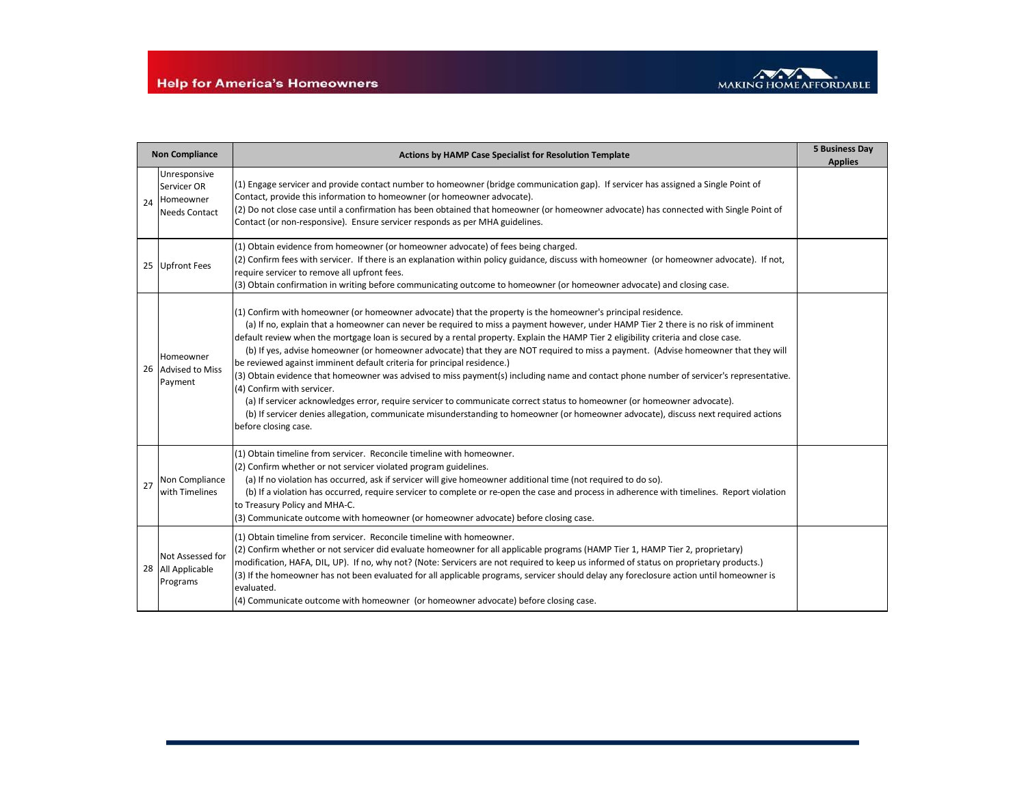

| <b>Non Compliance</b> |                                                                  | Actions by HAMP Case Specialist for Resolution Template                                                                                                                                                                                                                                                                                                                                                                                                                                                                                                                                                                                                                                                                                                                                                                                                                                                                                                                                                                                                                          | <b>5 Business Day</b><br><b>Applies</b> |
|-----------------------|------------------------------------------------------------------|----------------------------------------------------------------------------------------------------------------------------------------------------------------------------------------------------------------------------------------------------------------------------------------------------------------------------------------------------------------------------------------------------------------------------------------------------------------------------------------------------------------------------------------------------------------------------------------------------------------------------------------------------------------------------------------------------------------------------------------------------------------------------------------------------------------------------------------------------------------------------------------------------------------------------------------------------------------------------------------------------------------------------------------------------------------------------------|-----------------------------------------|
| 24                    | Unresponsive<br>Servicer OR<br>Homeowner<br><b>Needs Contact</b> | (1) Engage servicer and provide contact number to homeowner (bridge communication gap). If servicer has assigned a Single Point of<br>Contact, provide this information to homeowner (or homeowner advocate).<br>(2) Do not close case until a confirmation has been obtained that homeowner (or homeowner advocate) has connected with Single Point of<br>Contact (or non-responsive). Ensure servicer responds as per MHA guidelines.                                                                                                                                                                                                                                                                                                                                                                                                                                                                                                                                                                                                                                          |                                         |
|                       | 25 Upfront Fees                                                  | (1) Obtain evidence from homeowner (or homeowner advocate) of fees being charged.<br>(2) Confirm fees with servicer. If there is an explanation within policy guidance, discuss with homeowner (or homeowner advocate). If not,<br>require servicer to remove all upfront fees.<br>(3) Obtain confirmation in writing before communicating outcome to homeowner (or homeowner advocate) and closing case.                                                                                                                                                                                                                                                                                                                                                                                                                                                                                                                                                                                                                                                                        |                                         |
| 26                    | Homeowner<br><b>Advised to Miss</b><br>Payment                   | (1) Confirm with homeowner (or homeowner advocate) that the property is the homeowner's principal residence.<br>(a) If no, explain that a homeowner can never be required to miss a payment however, under HAMP Tier 2 there is no risk of imminent<br>default review when the mortgage loan is secured by a rental property. Explain the HAMP Tier 2 eligibility criteria and close case.<br>(b) If yes, advise homeowner (or homeowner advocate) that they are NOT required to miss a payment. (Advise homeowner that they will<br>be reviewed against imminent default criteria for principal residence.)<br>(3) Obtain evidence that homeowner was advised to miss payment(s) including name and contact phone number of servicer's representative.<br>(4) Confirm with servicer.<br>(a) If servicer acknowledges error, require servicer to communicate correct status to homeowner (or homeowner advocate).<br>(b) If servicer denies allegation, communicate misunderstanding to homeowner (or homeowner advocate), discuss next required actions<br>before closing case. |                                         |
| 27                    | Non Compliance<br>with Timelines                                 | (1) Obtain timeline from servicer. Reconcile timeline with homeowner.<br>(2) Confirm whether or not servicer violated program guidelines.<br>(a) If no violation has occurred, ask if servicer will give homeowner additional time (not required to do so).<br>(b) If a violation has occurred, require servicer to complete or re-open the case and process in adherence with timelines. Report violation<br>to Treasury Policy and MHA-C.<br>(3) Communicate outcome with homeowner (or homeowner advocate) before closing case.                                                                                                                                                                                                                                                                                                                                                                                                                                                                                                                                               |                                         |
|                       | Not Assessed for<br>28 All Applicable<br>Programs                | (1) Obtain timeline from servicer. Reconcile timeline with homeowner.<br>(2) Confirm whether or not servicer did evaluate homeowner for all applicable programs (HAMP Tier 1, HAMP Tier 2, proprietary)<br>modification, HAFA, DIL, UP). If no, why not? (Note: Servicers are not required to keep us informed of status on proprietary products.)<br>(3) If the homeowner has not been evaluated for all applicable programs, servicer should delay any foreclosure action until homeowner is<br>evaluated.<br>(4) Communicate outcome with homeowner (or homeowner advocate) before closing case.                                                                                                                                                                                                                                                                                                                                                                                                                                                                              |                                         |